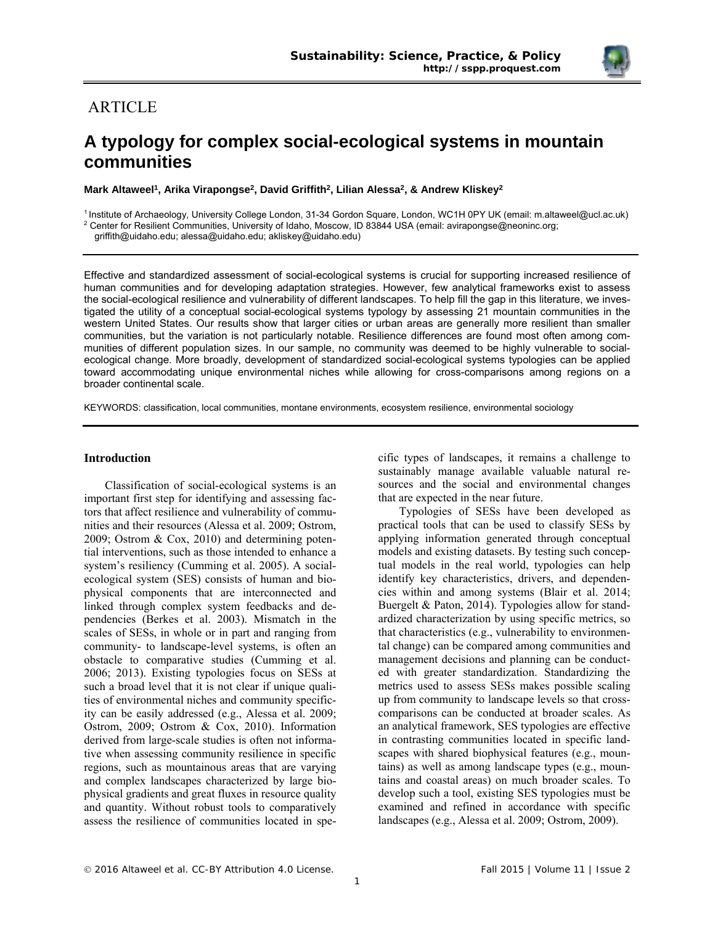

# ARTICLE

# **A typology for complex social-ecological systems in mountain communities**

Mark Altaweel<sup>1</sup>, Arika Virapongse<sup>2</sup>, David Griffith<sup>2</sup>, Lilian Alessa<sup>2</sup>, & Andrew Kliskey<sup>2</sup>

1 Institute of Archaeology, University College London, 31-34 Gordon Square, London, WC1H 0PY UK (email: m.altaweel@ucl.ac.uk) 2 <sup>2</sup> Center for Resilient Communities, University of Idaho, Moscow, ID 83844 USA (email: avirapongse@neoninc.org;

Effective and standardized assessment of social-ecological systems is crucial for supporting increased resilience of human communities and for developing adaptation strategies. However, few analytical frameworks exist to assess the social-ecological resilience and vulnerability of different landscapes. To help fill the gap in this literature, we investigated the utility of a conceptual social-ecological systems typology by assessing 21 mountain communities in the western United States. Our results show that larger cities or urban areas are generally more resilient than smaller communities, but the variation is not particularly notable. Resilience differences are found most often among communities of different population sizes. In our sample, no community was deemed to be highly vulnerable to socialecological change. More broadly, development of standardized social-ecological systems typologies can be applied toward accommodating unique environmental niches while allowing for cross-comparisons among regions on a broader continental scale.

KEYWORDS: classification, local communities, montane environments, ecosystem resilience, environmental sociology

#### **Introduction**

Classification of social-ecological systems is an important first step for identifying and assessing factors that affect resilience and vulnerability of communities and their resources (Alessa et al. 2009; Ostrom, 2009; Ostrom & Cox, 2010) and determining potential interventions, such as those intended to enhance a system's resiliency (Cumming et al. 2005). A socialecological system (SES) consists of human and biophysical components that are interconnected and linked through complex system feedbacks and dependencies (Berkes et al. 2003). Mismatch in the scales of SESs, in whole or in part and ranging from community- to landscape-level systems, is often an obstacle to comparative studies (Cumming et al. 2006; 2013). Existing typologies focus on SESs at such a broad level that it is not clear if unique qualities of environmental niches and community specificity can be easily addressed (e.g., Alessa et al. 2009; Ostrom, 2009; Ostrom & Cox, 2010). Information derived from large-scale studies is often not informative when assessing community resilience in specific regions, such as mountainous areas that are varying and complex landscapes characterized by large biophysical gradients and great fluxes in resource quality and quantity. Without robust tools to comparatively assess the resilience of communities located in specific types of landscapes, it remains a challenge to sustainably manage available valuable natural resources and the social and environmental changes that are expected in the near future.

Typologies of SESs have been developed as practical tools that can be used to classify SESs by applying information generated through conceptual models and existing datasets. By testing such conceptual models in the real world, typologies can help identify key characteristics, drivers, and dependencies within and among systems (Blair et al. 2014; Buergelt & Paton, 2014). Typologies allow for standardized characterization by using specific metrics, so that characteristics (e.g., vulnerability to environmental change) can be compared among communities and management decisions and planning can be conducted with greater standardization. Standardizing the metrics used to assess SESs makes possible scaling up from community to landscape levels so that crosscomparisons can be conducted at broader scales. As an analytical framework, SES typologies are effective in contrasting communities located in specific landscapes with shared biophysical features (e.g., mountains) as well as among landscape types (e.g., mountains and coastal areas) on much broader scales. To develop such a tool, existing SES typologies must be examined and refined in accordance with specific landscapes (e.g., Alessa et al. 2009; Ostrom, 2009).

griffith@uidaho.edu; alessa@uidaho.edu; akliskey@uidaho.edu)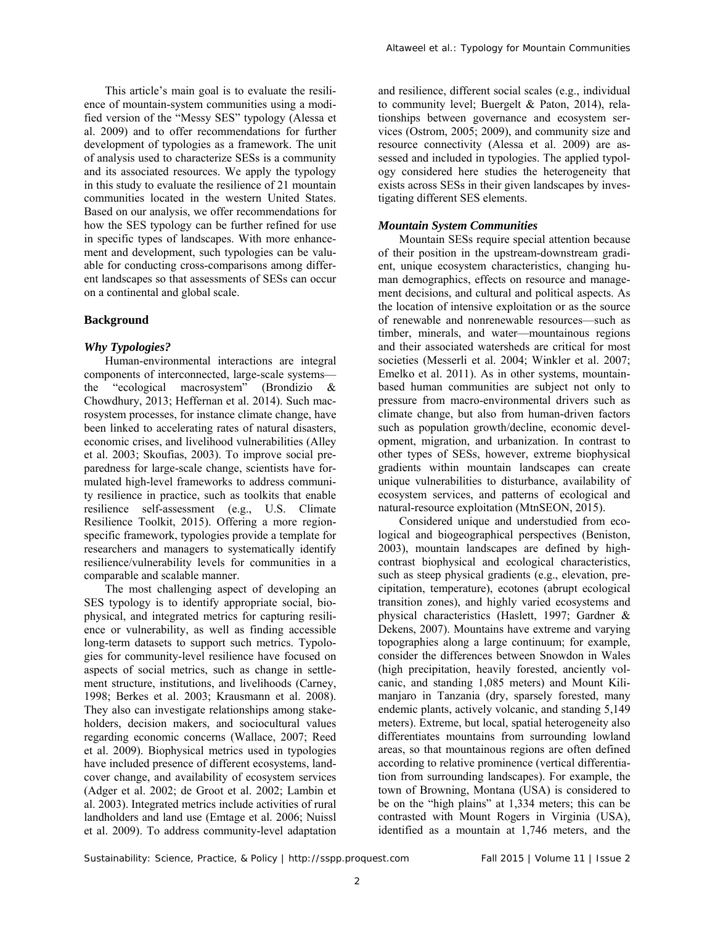This article's main goal is to evaluate the resilience of mountain-system communities using a modified version of the "Messy SES" typology (Alessa et al. 2009) and to offer recommendations for further development of typologies as a framework. The unit of analysis used to characterize SESs is a community and its associated resources. We apply the typology in this study to evaluate the resilience of 21 mountain communities located in the western United States. Based on our analysis, we offer recommendations for how the SES typology can be further refined for use in specific types of landscapes. With more enhancement and development, such typologies can be valuable for conducting cross-comparisons among different landscapes so that assessments of SESs can occur on a continental and global scale.

## **Background**

### *Why Typologies?*

Human-environmental interactions are integral components of interconnected, large-scale systems the "ecological macrosystem" (Brondizio & Chowdhury, 2013; Heffernan et al. 2014). Such macrosystem processes, for instance climate change, have been linked to accelerating rates of natural disasters, economic crises, and livelihood vulnerabilities (Alley et al. 2003; Skoufias, 2003). To improve social preparedness for large-scale change, scientists have formulated high-level frameworks to address community resilience in practice, such as toolkits that enable resilience self-assessment (e.g., U.S. Climate Resilience Toolkit, 2015). Offering a more regionspecific framework, typologies provide a template for researchers and managers to systematically identify resilience/vulnerability levels for communities in a comparable and scalable manner.

The most challenging aspect of developing an SES typology is to identify appropriate social, biophysical, and integrated metrics for capturing resilience or vulnerability, as well as finding accessible long-term datasets to support such metrics. Typologies for community-level resilience have focused on aspects of social metrics, such as change in settlement structure, institutions, and livelihoods (Carney, 1998; Berkes et al. 2003; Krausmann et al. 2008). They also can investigate relationships among stakeholders, decision makers, and sociocultural values regarding economic concerns (Wallace, 2007; Reed et al. 2009). Biophysical metrics used in typologies have included presence of different ecosystems, landcover change, and availability of ecosystem services (Adger et al. 2002; de Groot et al. 2002; Lambin et al. 2003). Integrated metrics include activities of rural landholders and land use (Emtage et al. 2006; Nuissl et al. 2009). To address community-level adaptation and resilience, different social scales (e.g., individual to community level; Buergelt & Paton, 2014), relationships between governance and ecosystem services (Ostrom, 2005; 2009), and community size and resource connectivity (Alessa et al. 2009) are assessed and included in typologies. The applied typology considered here studies the heterogeneity that exists across SESs in their given landscapes by investigating different SES elements.

#### *Mountain System Communities*

Mountain SESs require special attention because of their position in the upstream-downstream gradient, unique ecosystem characteristics, changing human demographics, effects on resource and management decisions, and cultural and political aspects. As the location of intensive exploitation or as the source of renewable and nonrenewable resources—such as timber, minerals, and water—mountainous regions and their associated watersheds are critical for most societies (Messerli et al. 2004; Winkler et al. 2007; Emelko et al. 2011). As in other systems, mountainbased human communities are subject not only to pressure from macro-environmental drivers such as climate change, but also from human-driven factors such as population growth/decline, economic development, migration, and urbanization. In contrast to other types of SESs, however, extreme biophysical gradients within mountain landscapes can create unique vulnerabilities to disturbance, availability of ecosystem services, and patterns of ecological and natural-resource exploitation (MtnSEON, 2015).

Considered unique and understudied from ecological and biogeographical perspectives (Beniston, 2003), mountain landscapes are defined by highcontrast biophysical and ecological characteristics, such as steep physical gradients (e.g., elevation, precipitation, temperature), ecotones (abrupt ecological transition zones), and highly varied ecosystems and physical characteristics (Haslett, 1997; Gardner & Dekens, 2007). Mountains have extreme and varying topographies along a large continuum; for example, consider the differences between Snowdon in Wales (high precipitation, heavily forested, anciently volcanic, and standing 1,085 meters) and Mount Kilimanjaro in Tanzania (dry, sparsely forested, many endemic plants, actively volcanic, and standing 5,149 meters). Extreme, but local, spatial heterogeneity also differentiates mountains from surrounding lowland areas, so that mountainous regions are often defined according to relative prominence (vertical differentiation from surrounding landscapes). For example, the town of Browning, Montana (USA) is considered to be on the "high plains" at 1,334 meters; this can be contrasted with Mount Rogers in Virginia (USA), identified as a mountain at 1,746 meters, and the

Sustainability: Science, Practice, & Policy | http://sspp.proquest.com Fall 2015 | Volume 11 | Issue 2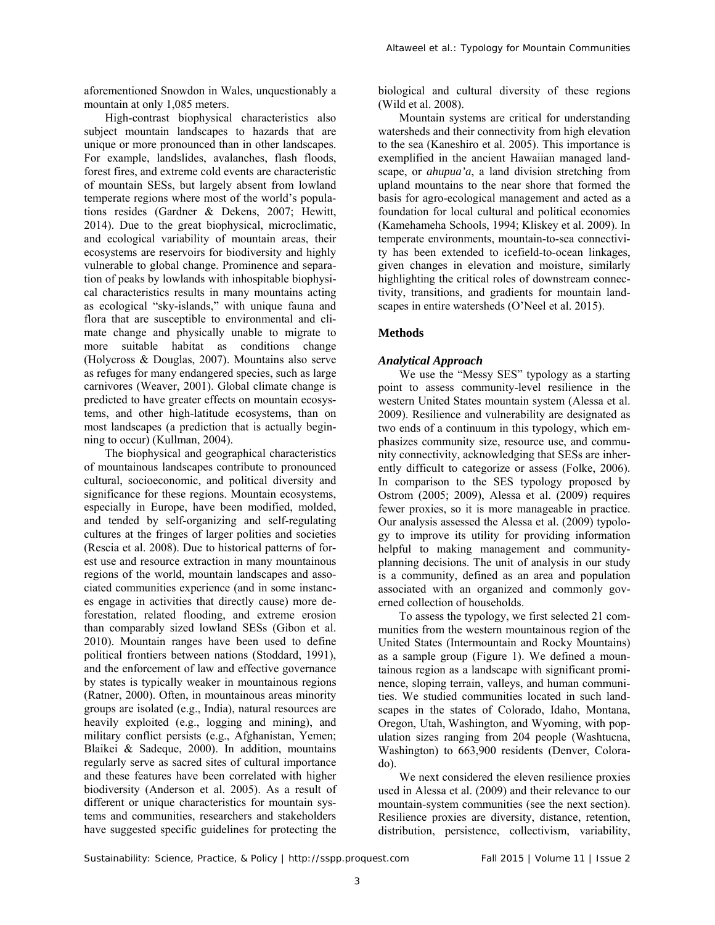aforementioned Snowdon in Wales, unquestionably a mountain at only 1,085 meters.

High-contrast biophysical characteristics also subject mountain landscapes to hazards that are unique or more pronounced than in other landscapes. For example, landslides, avalanches, flash floods, forest fires, and extreme cold events are characteristic of mountain SESs, but largely absent from lowland temperate regions where most of the world's populations resides (Gardner & Dekens, 2007; Hewitt, 2014). Due to the great biophysical, microclimatic, and ecological variability of mountain areas, their ecosystems are reservoirs for biodiversity and highly vulnerable to global change. Prominence and separation of peaks by lowlands with inhospitable biophysical characteristics results in many mountains acting as ecological "sky-islands," with unique fauna and flora that are susceptible to environmental and climate change and physically unable to migrate to more suitable habitat as conditions change (Holycross & Douglas, 2007). Mountains also serve as refuges for many endangered species, such as large carnivores (Weaver, 2001). Global climate change is predicted to have greater effects on mountain ecosystems, and other high-latitude ecosystems, than on most landscapes (a prediction that is actually beginning to occur) (Kullman, 2004).

The biophysical and geographical characteristics of mountainous landscapes contribute to pronounced cultural, socioeconomic, and political diversity and significance for these regions. Mountain ecosystems, especially in Europe, have been modified, molded, and tended by self-organizing and self-regulating cultures at the fringes of larger polities and societies (Rescia et al. 2008). Due to historical patterns of forest use and resource extraction in many mountainous regions of the world, mountain landscapes and associated communities experience (and in some instances engage in activities that directly cause) more deforestation, related flooding, and extreme erosion than comparably sized lowland SESs (Gibon et al. 2010). Mountain ranges have been used to define political frontiers between nations (Stoddard, 1991), and the enforcement of law and effective governance by states is typically weaker in mountainous regions (Ratner, 2000). Often, in mountainous areas minority groups are isolated (e.g., India), natural resources are heavily exploited (e.g., logging and mining), and military conflict persists (e.g., Afghanistan, Yemen; Blaikei & Sadeque, 2000). In addition, mountains regularly serve as sacred sites of cultural importance and these features have been correlated with higher biodiversity (Anderson et al. 2005). As a result of different or unique characteristics for mountain systems and communities, researchers and stakeholders have suggested specific guidelines for protecting the

biological and cultural diversity of these regions (Wild et al. 2008).

Mountain systems are critical for understanding watersheds and their connectivity from high elevation to the sea (Kaneshiro et al. 2005). This importance is exemplified in the ancient Hawaiian managed landscape, or *ahupua'a*, a land division stretching from upland mountains to the near shore that formed the basis for agro-ecological management and acted as a foundation for local cultural and political economies (Kamehameha Schools, 1994; Kliskey et al. 2009). In temperate environments, mountain-to-sea connectivity has been extended to icefield-to-ocean linkages, given changes in elevation and moisture, similarly highlighting the critical roles of downstream connectivity, transitions, and gradients for mountain landscapes in entire watersheds (O'Neel et al. 2015).

# **Methods**

# *Analytical Approach*

We use the "Messy SES" typology as a starting point to assess community-level resilience in the western United States mountain system (Alessa et al. 2009). Resilience and vulnerability are designated as two ends of a continuum in this typology, which emphasizes community size, resource use, and community connectivity, acknowledging that SESs are inherently difficult to categorize or assess (Folke, 2006). In comparison to the SES typology proposed by Ostrom (2005; 2009), Alessa et al. (2009) requires fewer proxies, so it is more manageable in practice. Our analysis assessed the Alessa et al. (2009) typology to improve its utility for providing information helpful to making management and communityplanning decisions. The unit of analysis in our study is a community, defined as an area and population associated with an organized and commonly governed collection of households.

To assess the typology, we first selected 21 communities from the western mountainous region of the United States (Intermountain and Rocky Mountains) as a sample group (Figure 1). We defined a mountainous region as a landscape with significant prominence, sloping terrain, valleys, and human communities. We studied communities located in such landscapes in the states of Colorado, Idaho, Montana, Oregon, Utah, Washington, and Wyoming, with population sizes ranging from 204 people (Washtucna, Washington) to 663,900 residents (Denver, Colorado).

We next considered the eleven resilience proxies used in Alessa et al. (2009) and their relevance to our mountain-system communities (see the next section). Resilience proxies are diversity, distance, retention, distribution, persistence, collectivism, variability,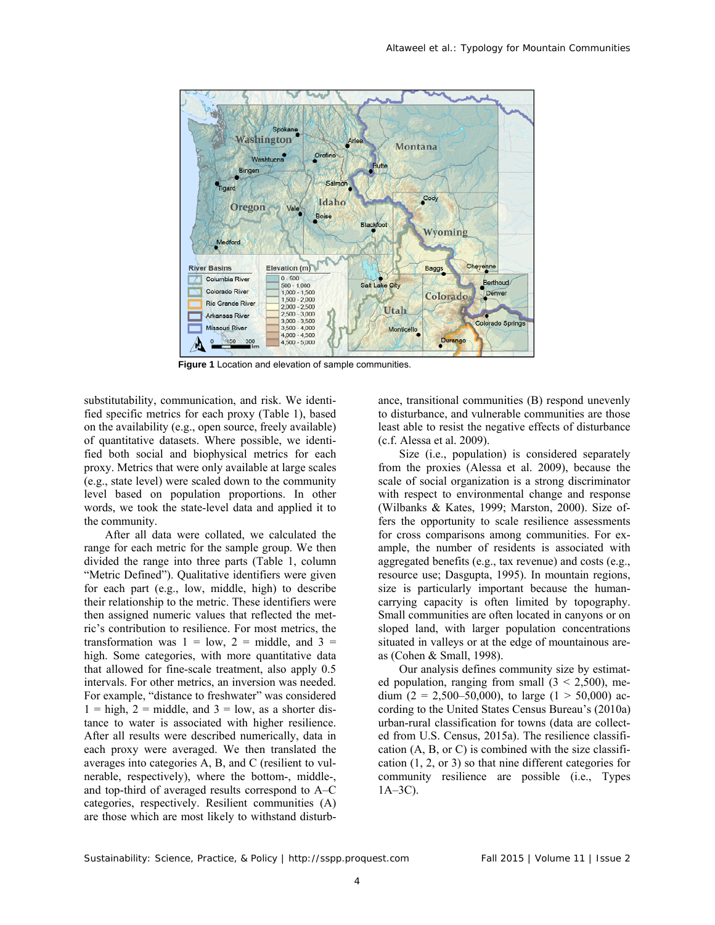

**Figure 1** Location and elevation of sample communities.

substitutability, communication, and risk. We identified specific metrics for each proxy (Table 1), based on the availability (e.g., open source, freely available) of quantitative datasets. Where possible, we identified both social and biophysical metrics for each proxy. Metrics that were only available at large scales (e.g., state level) were scaled down to the community level based on population proportions. In other words, we took the state-level data and applied it to the community.

After all data were collated, we calculated the range for each metric for the sample group. We then divided the range into three parts (Table 1, column "Metric Defined"). Qualitative identifiers were given for each part (e.g., low, middle, high) to describe their relationship to the metric. These identifiers were then assigned numeric values that reflected the metric's contribution to resilience. For most metrics, the transformation was  $1 = \text{low}, 2 = \text{middle}, \text{and } 3 = \text{sim}$ high. Some categories, with more quantitative data that allowed for fine-scale treatment, also apply 0.5 intervals. For other metrics, an inversion was needed. For example, "distance to freshwater" was considered  $1 =$  high,  $2 =$  middle, and  $3 =$  low, as a shorter distance to water is associated with higher resilience. After all results were described numerically, data in each proxy were averaged. We then translated the averages into categories A, B, and C (resilient to vulnerable, respectively), where the bottom-, middle-, and top-third of averaged results correspond to A–C categories, respectively. Resilient communities (A) are those which are most likely to withstand disturbance, transitional communities (B) respond unevenly to disturbance, and vulnerable communities are those least able to resist the negative effects of disturbance (c.f. Alessa et al. 2009).

Size (i.e., population) is considered separately from the proxies (Alessa et al. 2009), because the scale of social organization is a strong discriminator with respect to environmental change and response (Wilbanks & Kates, 1999; Marston, 2000). Size offers the opportunity to scale resilience assessments for cross comparisons among communities. For example, the number of residents is associated with aggregated benefits (e.g., tax revenue) and costs (e.g., resource use; Dasgupta, 1995). In mountain regions, size is particularly important because the humancarrying capacity is often limited by topography. Small communities are often located in canyons or on sloped land, with larger population concentrations situated in valleys or at the edge of mountainous areas (Cohen & Small, 1998).

Our analysis defines community size by estimated population, ranging from small  $(3 < 2,500)$ , medium (2 = 2,500–50,000), to large (1 > 50,000) according to the United States Census Bureau's (2010a) urban-rural classification for towns (data are collected from U.S. Census, 2015a). The resilience classification (A, B, or C) is combined with the size classification (1, 2, or 3) so that nine different categories for community resilience are possible (i.e., Types  $1A-3C$ ).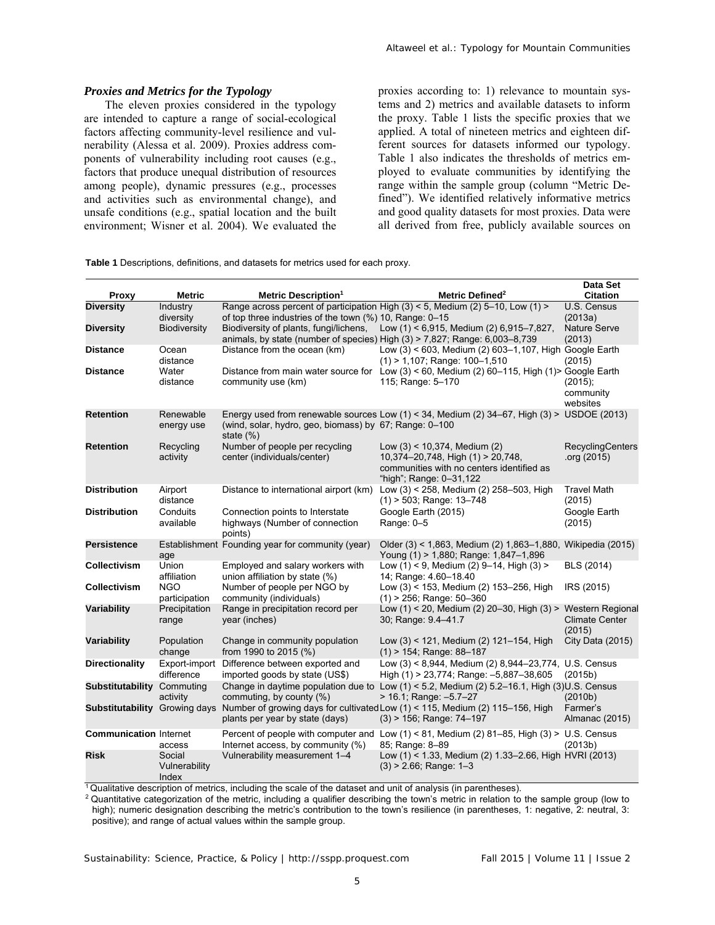### *Proxies and Metrics for the Typology*

The eleven proxies considered in the typology are intended to capture a range of social-ecological factors affecting community-level resilience and vulnerability (Alessa et al. 2009). Proxies address components of vulnerability including root causes (e.g., factors that produce unequal distribution of resources among people), dynamic pressures (e.g., processes and activities such as environmental change), and unsafe conditions (e.g., spatial location and the built environment; Wisner et al. 2004). We evaluated the proxies according to: 1) relevance to mountain systems and 2) metrics and available datasets to inform the proxy. Table 1 lists the specific proxies that we applied. A total of nineteen metrics and eighteen different sources for datasets informed our typology. Table 1 also indicates the thresholds of metrics employed to evaluate communities by identifying the range within the sample group (column "Metric Defined"). We identified relatively informative metrics and good quality datasets for most proxies. Data were all derived from free, publicly available sources on

**Table 1** Descriptions, definitions, and datasets for metrics used for each proxy.

|                               |                           |                                                                                                   |                                                                                                 | Data Set                |
|-------------------------------|---------------------------|---------------------------------------------------------------------------------------------------|-------------------------------------------------------------------------------------------------|-------------------------|
| Proxy                         | Metric                    | Metric Description <sup>1</sup>                                                                   | Metric Defined <sup>2</sup>                                                                     | <b>Citation</b>         |
| <b>Diversity</b>              | Industry                  |                                                                                                   | Range across percent of participation High (3) < 5, Medium (2) 5-10, Low (1) >                  | U.S. Census             |
| <b>Diversity</b>              | diversity<br>Biodiversity | of top three industries of the town (%) 10, Range: 0-15<br>Biodiversity of plants, fungi/lichens, | Low (1) < 6,915, Medium (2) 6,915-7,827,                                                        | (2013a)<br>Nature Serve |
|                               |                           |                                                                                                   | animals, by state (number of species) High $(3)$ > 7,827; Range: 6,003-8,739                    | (2013)                  |
| <b>Distance</b>               | Ocean                     | Distance from the ocean (km)                                                                      | Low (3) < 603, Medium (2) 603-1, 107, High Google Earth                                         |                         |
|                               | distance                  |                                                                                                   | $(1)$ > 1,107; Range: 100-1,510                                                                 | (2015)                  |
| <b>Distance</b>               | Water                     |                                                                                                   | Distance from main water source for Low (3) < 60, Medium (2) 60–115, High (1) > Google Earth    |                         |
|                               | distance                  | community use (km)                                                                                | 115; Range: 5-170                                                                               | $(2015)$ :              |
|                               |                           |                                                                                                   |                                                                                                 | community               |
|                               |                           |                                                                                                   |                                                                                                 | websites                |
| <b>Retention</b>              | Renewable                 |                                                                                                   | Energy used from renewable sources Low $(1)$ < 34, Medium (2) 34-67, High (3) > USDOE (2013)    |                         |
|                               | energy use                | (wind, solar, hydro, geo, biomass) by 67; Range: 0-100                                            |                                                                                                 |                         |
|                               |                           | state (%)                                                                                         |                                                                                                 |                         |
| <b>Retention</b>              | Recycling                 | Number of people per recycling                                                                    | Low $(3)$ < 10,374, Medium $(2)$                                                                | RecyclingCenters        |
|                               | activity                  | center (individuals/center)                                                                       | 10,374-20,748, High (1) > 20,748,<br>communities with no centers identified as                  | .org (2015)             |
|                               |                           |                                                                                                   | "high": Range: 0-31,122                                                                         |                         |
| <b>Distribution</b>           | Airport                   | Distance to international airport (km)                                                            | Low (3) < 258, Medium (2) 258-503, High                                                         | <b>Travel Math</b>      |
|                               | distance                  |                                                                                                   | $(1)$ > 503; Range: 13-748                                                                      | (2015)                  |
| <b>Distribution</b>           | Conduits                  | Connection points to Interstate                                                                   | Google Earth (2015)                                                                             | Google Earth            |
|                               | available                 | highways (Number of connection                                                                    | Range: 0-5                                                                                      | (2015)                  |
|                               |                           | points)                                                                                           |                                                                                                 |                         |
| <b>Persistence</b>            |                           | Establishment Founding year for community (year)                                                  | Older (3) < 1,863, Medium (2) 1,863-1,880, Wikipedia (2015)                                     |                         |
|                               | age                       |                                                                                                   | Young (1) > 1,880; Range: 1,847-1,896                                                           |                         |
| Collectivism                  | Union                     | Employed and salary workers with                                                                  | Low (1) < 9, Medium (2) 9-14, High (3) >                                                        | BLS (2014)              |
| <b>Collectivism</b>           | affiliation<br><b>NGO</b> | union affiliation by state (%)<br>Number of people per NGO by                                     | 14; Range: 4.60-18.40<br>Low (3) < 153, Medium (2) 153-256, High                                | IRS (2015)              |
|                               | participation             | community (individuals)                                                                           | $(1)$ > 256; Range: 50-360                                                                      |                         |
| Variability                   | Precipitation             | Range in precipitation record per                                                                 | Low (1) < 20, Medium (2) 20-30, High (3) > Western Regional                                     |                         |
|                               | range                     | year (inches)                                                                                     | 30; Range: 9.4-41.7                                                                             | <b>Climate Center</b>   |
|                               |                           |                                                                                                   |                                                                                                 | (2015)                  |
| Variability                   | Population                | Change in community population                                                                    | Low (3) < 121, Medium (2) 121-154, High                                                         | City Data (2015)        |
|                               | change                    | from 1990 to 2015 (%)                                                                             | $(1)$ > 154; Range: 88-187                                                                      |                         |
| <b>Directionality</b>         | Export-import             | Difference between exported and                                                                   | Low (3) < 8,944, Medium (2) 8,944-23,774, U.S. Census                                           |                         |
|                               | difference                | imported goods by state (US\$)                                                                    | High (1) > 23,774; Range: -5,887-38,605                                                         | (2015b)                 |
| Substitutability Commuting    |                           |                                                                                                   | Change in daytime population due to Low (1) < 5.2, Medium (2) $5.2-16.1$ , High (3) U.S. Census |                         |
|                               | activity                  | commuting, by county (%)                                                                          | > 16.1; Range: -5.7-27                                                                          | (2010b)                 |
| Substitutability Growing days |                           |                                                                                                   | Number of growing days for cultivated Low (1) < 115, Medium (2) 115-156, High                   | Farmer's                |
|                               |                           | plants per year by state (days)                                                                   | $(3)$ > 156; Range: 74-197                                                                      | Almanac (2015)          |
| <b>Communication Internet</b> |                           |                                                                                                   | Percent of people with computer and Low (1) < 81, Medium (2) 81–85, High (3) > U.S. Census      |                         |
|                               | access                    | Internet access, by community (%)                                                                 | 85; Range: 8-89                                                                                 | (2013b)                 |
| <b>Risk</b>                   | Social                    | Vulnerability measurement 1-4                                                                     | Low (1) < 1.33, Medium (2) 1.33-2.66, High HVRI (2013)                                          |                         |
|                               | Vulnerability             |                                                                                                   | $(3)$ > 2.66; Range: 1-3                                                                        |                         |
|                               | Index                     |                                                                                                   |                                                                                                 |                         |

<sup>1</sup> Qualitative description of metrics, including the scale of the dataset and unit of analysis (in parentheses).<br><sup>2</sup> Quantitative categorization of the metric, including a qualifier describing the town's metric in relatio high); numeric designation describing the metric's contribution to the town's resilience (in parentheses, 1: negative, 2: neutral, 3: positive); and range of actual values within the sample group.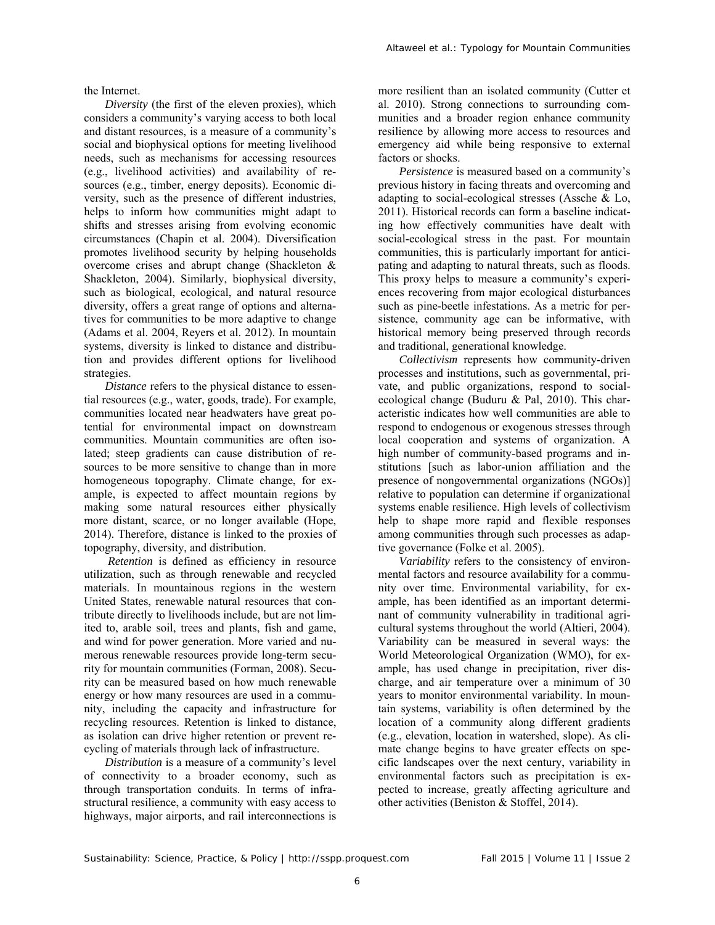the Internet.

*Diversity* (the first of the eleven proxies), which considers a community's varying access to both local and distant resources, is a measure of a community's social and biophysical options for meeting livelihood needs, such as mechanisms for accessing resources (e.g., livelihood activities) and availability of resources (e.g., timber, energy deposits). Economic diversity, such as the presence of different industries, helps to inform how communities might adapt to shifts and stresses arising from evolving economic circumstances (Chapin et al. 2004). Diversification promotes livelihood security by helping households overcome crises and abrupt change (Shackleton & Shackleton, 2004). Similarly, biophysical diversity, such as biological, ecological, and natural resource diversity, offers a great range of options and alternatives for communities to be more adaptive to change (Adams et al. 2004, Reyers et al. 2012). In mountain systems, diversity is linked to distance and distribution and provides different options for livelihood strategies.

*Distance* refers to the physical distance to essential resources (e.g., water, goods, trade). For example, communities located near headwaters have great potential for environmental impact on downstream communities. Mountain communities are often isolated; steep gradients can cause distribution of resources to be more sensitive to change than in more homogeneous topography. Climate change, for example, is expected to affect mountain regions by making some natural resources either physically more distant, scarce, or no longer available (Hope, 2014). Therefore, distance is linked to the proxies of topography, diversity, and distribution.

*Retention* is defined as efficiency in resource utilization, such as through renewable and recycled materials. In mountainous regions in the western United States, renewable natural resources that contribute directly to livelihoods include, but are not limited to, arable soil, trees and plants, fish and game, and wind for power generation. More varied and numerous renewable resources provide long-term security for mountain communities (Forman, 2008). Security can be measured based on how much renewable energy or how many resources are used in a community, including the capacity and infrastructure for recycling resources. Retention is linked to distance, as isolation can drive higher retention or prevent recycling of materials through lack of infrastructure.

*Distribution* is a measure of a community's level of connectivity to a broader economy, such as through transportation conduits. In terms of infrastructural resilience, a community with easy access to highways, major airports, and rail interconnections is

more resilient than an isolated community (Cutter et al. 2010). Strong connections to surrounding communities and a broader region enhance community resilience by allowing more access to resources and emergency aid while being responsive to external factors or shocks.

*Persistence* is measured based on a community's previous history in facing threats and overcoming and adapting to social-ecological stresses (Assche & Lo, 2011). Historical records can form a baseline indicating how effectively communities have dealt with social-ecological stress in the past. For mountain communities, this is particularly important for anticipating and adapting to natural threats, such as floods. This proxy helps to measure a community's experiences recovering from major ecological disturbances such as pine-beetle infestations. As a metric for persistence, community age can be informative, with historical memory being preserved through records and traditional, generational knowledge.

*Collectivism* represents how community-driven processes and institutions, such as governmental, private, and public organizations, respond to socialecological change (Buduru  $\&$  Pal, 2010). This characteristic indicates how well communities are able to respond to endogenous or exogenous stresses through local cooperation and systems of organization. A high number of community-based programs and institutions [such as labor-union affiliation and the presence of nongovernmental organizations (NGOs)] relative to population can determine if organizational systems enable resilience. High levels of collectivism help to shape more rapid and flexible responses among communities through such processes as adaptive governance (Folke et al. 2005).

*Variability* refers to the consistency of environmental factors and resource availability for a community over time. Environmental variability, for example, has been identified as an important determinant of community vulnerability in traditional agricultural systems throughout the world (Altieri, 2004). Variability can be measured in several ways: the World Meteorological Organization (WMO), for example, has used change in precipitation, river discharge, and air temperature over a minimum of 30 years to monitor environmental variability. In mountain systems, variability is often determined by the location of a community along different gradients (e.g., elevation, location in watershed, slope). As climate change begins to have greater effects on specific landscapes over the next century, variability in environmental factors such as precipitation is expected to increase, greatly affecting agriculture and other activities (Beniston & Stoffel, 2014).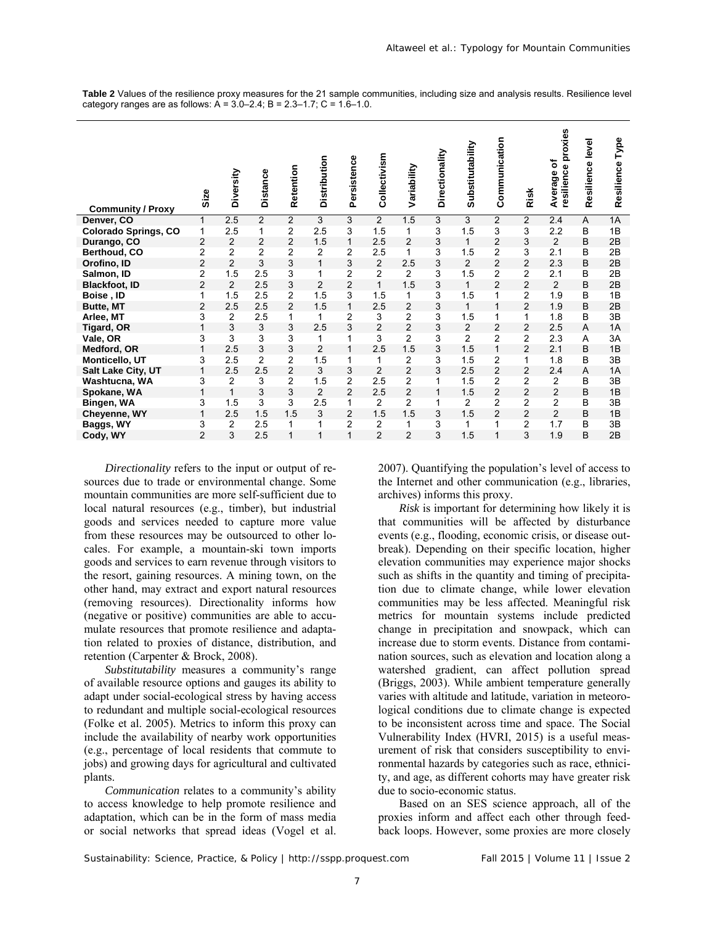**Table 2** Values of the resilience proxy measures for the 21 sample communities, including size and analysis results. Resilience level category ranges are as follows:  $A = 3.0 - 2.4$ ;  $B = 2.3 - 1.7$ ;  $C = 1.6 - 1.0$ .

| <b>Community / Proxy</b> | Size           | Diversity      | Distance       | Retention      | Distribution   | Persistence    | Collectivism   | Variability    | Directionality | Substitutability | Communication  | Risk           | resilience proxies<br>Average of | Resilience level | Type<br>Resilience |
|--------------------------|----------------|----------------|----------------|----------------|----------------|----------------|----------------|----------------|----------------|------------------|----------------|----------------|----------------------------------|------------------|--------------------|
| Denver, CO               |                | 2.5            | $\overline{c}$ | $\overline{2}$ | 3              | 3              | 2              | 1.5            | 3              | 3                | $\overline{c}$ | $\overline{2}$ | 2.4                              | A                | 1A                 |
| Colorado Springs, CO     |                | 2.5            | 1              | 2              | 2.5            | 3              | 1.5            | 1              | 3              | 1.5              | 3              | 3              | 2.2                              | B                | 1B                 |
| Durango, CO              | 2              | $\overline{2}$ | $\overline{c}$ | $\overline{c}$ | 1.5            | 1              | 2.5            | 2              | 3              | 1                | $\overline{2}$ | 3              | $\overline{2}$                   | B                | 2B                 |
| Berthoud, CO             | 2              | 2              | $\overline{2}$ | 2              | $\overline{c}$ | 2              | 2.5            | 1              | 3              | 1.5              | 2              | 3              | 2.1                              | B                | 2B                 |
| Orofino, ID              | $\overline{c}$ | $\overline{2}$ | 3              | 3              | 1              | 3              | $\overline{2}$ | 2.5            | 3              | 2                | $\overline{c}$ | $\overline{2}$ | 2.3                              | B                | 2B                 |
| Salmon, ID               | 2              | 1.5            | 2.5            | 3              |                | 2              | $\overline{2}$ | $\overline{c}$ | 3              | 1.5              | 2              | 2              | 2.1                              | B                | 2B                 |
| <b>Blackfoot, ID</b>     | 2              | 2              | 2.5            | 3              | $\overline{c}$ | $\overline{2}$ | 1              | 1.5            | 3              | 1                | $\overline{2}$ | $\overline{2}$ | $\overline{2}$                   | B                | 2B                 |
| Boise, ID                | 1              | 1.5            | 2.5            | 2              | 1.5            | 3              | 1.5            | 1              | 3              | 1.5              | 1              | $\overline{2}$ | 1.9                              | B                | 1B                 |
| <b>Butte, MT</b>         | 2              | 2.5            | 2.5            | 2              | 1.5            | 1              | 2.5            | 2              | 3              | 1                | 1              | $\overline{2}$ | 1.9                              | B                | 2B                 |
| Arlee, MT                | 3              | 2              | 2.5            | 1              | 1              | 2              | 3              | $\overline{c}$ | 3              | 1.5              | 1              | 1              | 1.8                              | B                | 3B                 |
| <b>Tigard, OR</b>        | 1              | 3              | 3              | 3              | 2.5            | 3              | $\overline{2}$ | $\overline{2}$ | 3              | $\overline{2}$   | 2              | 2              | 2.5                              | A                | 1A                 |
| Vale, OR                 | 3              | 3              | 3              | 3              | 1              | 1              | 3              | $\overline{c}$ | 3              | $\overline{2}$   | $\overline{2}$ | $\overline{2}$ | 2.3                              | A                | 3A                 |
| Medford, OR              | 1              | 2.5            | 3              | 3              | $\overline{2}$ | 1              | 2.5            | 1.5            | 3              | 1.5              | $\mathbf{1}$   | $\overline{2}$ | 2.1                              | B                | 1B                 |
| Monticello, UT           | 3              | 2.5            | $\overline{2}$ | 2              | 1.5            | 1              | 1              | 2              | 3              | 1.5              | 2              | 1              | 1.8                              | B                | 3B                 |
| Salt Lake City, UT       | 1              | 2.5            | 2.5            | $\overline{2}$ | 3              | 3              | $\overline{2}$ | 2              | 3              | 2.5              | $\overline{2}$ | $\overline{2}$ | 2.4                              | A                | 1A                 |
| Washtucna, WA            | 3              | 2              | 3              | 2              | 1.5            | 2              | 2.5            | $\overline{2}$ | 1              | 1.5              | 2              | $\overline{2}$ | 2                                | B                | 3B                 |
| Spokane, WA              | 1              | $\mathbf{1}$   | 3              | 3              | $\overline{2}$ | $\overline{2}$ | 2.5            | $\overline{2}$ | $\mathbf{1}$   | 1.5              | $\overline{2}$ | $\overline{2}$ | $\overline{2}$                   | B                | 1B                 |
| Bingen, WA               | 3              | 1.5            | 3              | 3              | 2.5            | 1              | 2              | $\overline{2}$ |                | 2                | 2              | $\overline{2}$ | 2                                | B                | 3B                 |
| Cheyenne, WY             | 1              | 2.5            | 1.5            | 1.5            | 3              | $\overline{2}$ | 1.5            | 1.5            | 3              | 1.5              | $\overline{2}$ | $\overline{2}$ | $\overline{2}$                   | B                | 1B                 |
| Baggs, WY                | 3              | 2              | 2.5            | 1              | 1              | 2              | 2              | 1              | 3              |                  |                | $\overline{2}$ | 1.7                              | B                | 3B                 |
| Cody, WY                 | $\overline{c}$ | 3              | 2.5            | 1              | 1              | 1              | $\overline{2}$ | $\overline{2}$ | 3              | 1.5              |                | 3              | 1.9                              | B                | 2B                 |

*Directionality* refers to the input or output of resources due to trade or environmental change. Some mountain communities are more self-sufficient due to local natural resources (e.g., timber), but industrial goods and services needed to capture more value from these resources may be outsourced to other locales. For example, a mountain-ski town imports goods and services to earn revenue through visitors to the resort, gaining resources. A mining town, on the other hand, may extract and export natural resources (removing resources). Directionality informs how (negative or positive) communities are able to accumulate resources that promote resilience and adaptation related to proxies of distance, distribution, and retention (Carpenter & Brock, 2008).

*Substitutability* measures a community's range of available resource options and gauges its ability to adapt under social-ecological stress by having access to redundant and multiple social-ecological resources (Folke et al. 2005). Metrics to inform this proxy can include the availability of nearby work opportunities (e.g., percentage of local residents that commute to jobs) and growing days for agricultural and cultivated plants.

*Communication* relates to a community's ability to access knowledge to help promote resilience and adaptation, which can be in the form of mass media or social networks that spread ideas (Vogel et al.

2007). Quantifying the population's level of access to the Internet and other communication (e.g., libraries, archives) informs this proxy.

*Risk* is important for determining how likely it is that communities will be affected by disturbance events (e.g., flooding, economic crisis, or disease outbreak). Depending on their specific location, higher elevation communities may experience major shocks such as shifts in the quantity and timing of precipitation due to climate change, while lower elevation communities may be less affected. Meaningful risk metrics for mountain systems include predicted change in precipitation and snowpack, which can increase due to storm events. Distance from contamination sources, such as elevation and location along a watershed gradient, can affect pollution spread (Briggs, 2003). While ambient temperature generally varies with altitude and latitude, variation in meteorological conditions due to climate change is expected to be inconsistent across time and space. The Social Vulnerability Index (HVRI, 2015) is a useful measurement of risk that considers susceptibility to environmental hazards by categories such as race, ethnicity, and age, as different cohorts may have greater risk due to socio-economic status.

Based on an SES science approach, all of the proxies inform and affect each other through feedback loops. However, some proxies are more closely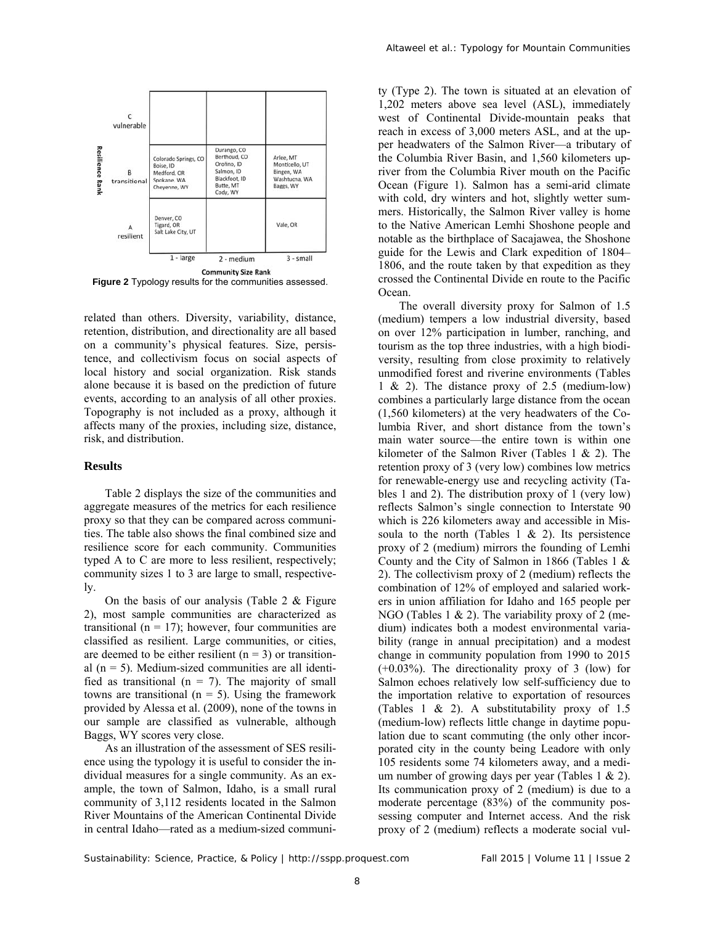

related than others. Diversity, variability, distance, retention, distribution, and directionality are all based on a community's physical features. Size, persistence, and collectivism focus on social aspects of local history and social organization. Risk stands alone because it is based on the prediction of future events, according to an analysis of all other proxies. Topography is not included as a proxy, although it affects many of the proxies, including size, distance, risk, and distribution.

#### **Results**

Table 2 displays the size of the communities and aggregate measures of the metrics for each resilience proxy so that they can be compared across communities. The table also shows the final combined size and resilience score for each community. Communities typed A to C are more to less resilient, respectively; community sizes 1 to 3 are large to small, respectively.

On the basis of our analysis (Table 2 & Figure 2), most sample communities are characterized as transitional ( $n = 17$ ); however, four communities are classified as resilient. Large communities, or cities, are deemed to be either resilient  $(n = 3)$  or transitional  $(n = 5)$ . Medium-sized communities are all identified as transitional  $(n = 7)$ . The majority of small towns are transitional ( $n = 5$ ). Using the framework provided by Alessa et al. (2009), none of the towns in our sample are classified as vulnerable, although Baggs, WY scores very close.

As an illustration of the assessment of SES resilience using the typology it is useful to consider the individual measures for a single community. As an example, the town of Salmon, Idaho, is a small rural community of 3,112 residents located in the Salmon River Mountains of the American Continental Divide in central Idaho—rated as a medium-sized community (Type 2). The town is situated at an elevation of 1,202 meters above sea level (ASL), immediately west of Continental Divide-mountain peaks that reach in excess of 3,000 meters ASL, and at the upper headwaters of the Salmon River—a tributary of the Columbia River Basin, and 1,560 kilometers upriver from the Columbia River mouth on the Pacific Ocean (Figure 1). Salmon has a semi-arid climate with cold, dry winters and hot, slightly wetter summers. Historically, the Salmon River valley is home to the Native American Lemhi Shoshone people and notable as the birthplace of Sacajawea, the Shoshone guide for the Lewis and Clark expedition of 1804– 1806, and the route taken by that expedition as they crossed the Continental Divide en route to the Pacific Ocean.

The overall diversity proxy for Salmon of 1.5 (medium) tempers a low industrial diversity, based on over 12% participation in lumber, ranching, and tourism as the top three industries, with a high biodiversity, resulting from close proximity to relatively unmodified forest and riverine environments (Tables 1 & 2). The distance proxy of 2.5 (medium-low) combines a particularly large distance from the ocean (1,560 kilometers) at the very headwaters of the Columbia River, and short distance from the town's main water source—the entire town is within one kilometer of the Salmon River (Tables  $1 \& 2$ ). The retention proxy of 3 (very low) combines low metrics for renewable-energy use and recycling activity (Tables 1 and 2). The distribution proxy of 1 (very low) reflects Salmon's single connection to Interstate 90 which is 226 kilometers away and accessible in Missoula to the north (Tables 1  $& 2$ ). Its persistence proxy of 2 (medium) mirrors the founding of Lemhi County and the City of Salmon in 1866 (Tables 1 & 2). The collectivism proxy of 2 (medium) reflects the combination of 12% of employed and salaried workers in union affiliation for Idaho and 165 people per NGO (Tables 1 & 2). The variability proxy of 2 (medium) indicates both a modest environmental variability (range in annual precipitation) and a modest change in community population from 1990 to 2015 (+0.03%). The directionality proxy of 3 (low) for Salmon echoes relatively low self-sufficiency due to the importation relative to exportation of resources (Tables 1 & 2). A substitutability proxy of 1.5 (medium-low) reflects little change in daytime population due to scant commuting (the only other incorporated city in the county being Leadore with only 105 residents some 74 kilometers away, and a medium number of growing days per year (Tables 1 & 2). Its communication proxy of 2 (medium) is due to a moderate percentage (83%) of the community possessing computer and Internet access. And the risk proxy of 2 (medium) reflects a moderate social vul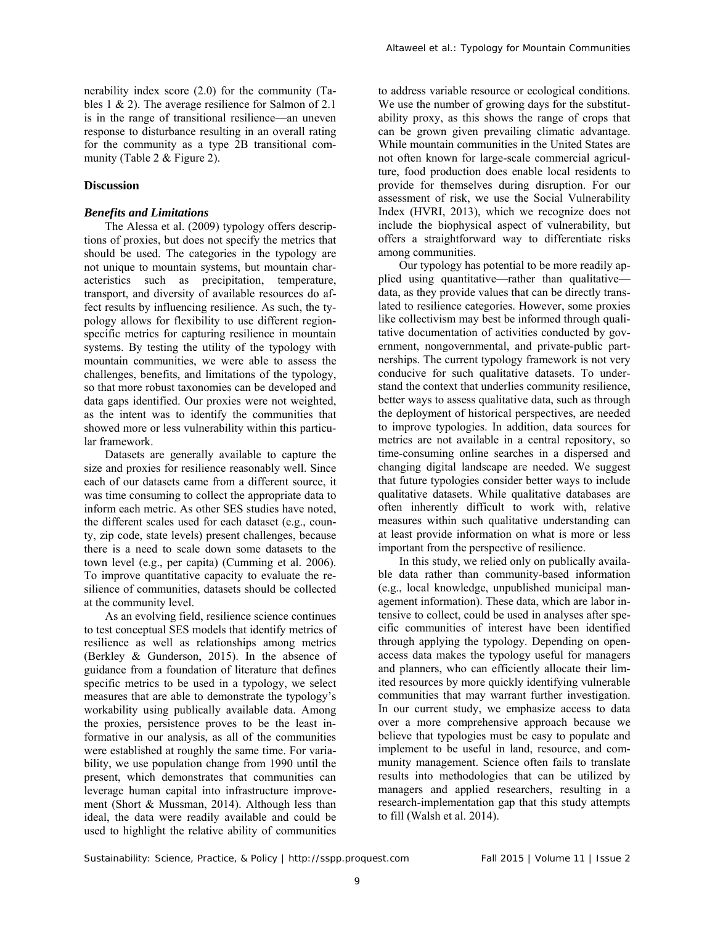nerability index score (2.0) for the community (Tables 1 & 2). The average resilience for Salmon of 2.1 is in the range of transitional resilience—an uneven response to disturbance resulting in an overall rating for the community as a type 2B transitional community (Table 2 & Figure 2).

### **Discussion**

#### *Benefits and Limitations*

The Alessa et al. (2009) typology offers descriptions of proxies, but does not specify the metrics that should be used. The categories in the typology are not unique to mountain systems, but mountain characteristics such as precipitation, temperature, transport, and diversity of available resources do affect results by influencing resilience. As such, the typology allows for flexibility to use different regionspecific metrics for capturing resilience in mountain systems. By testing the utility of the typology with mountain communities, we were able to assess the challenges, benefits, and limitations of the typology, so that more robust taxonomies can be developed and data gaps identified. Our proxies were not weighted, as the intent was to identify the communities that showed more or less vulnerability within this particular framework.

Datasets are generally available to capture the size and proxies for resilience reasonably well. Since each of our datasets came from a different source, it was time consuming to collect the appropriate data to inform each metric. As other SES studies have noted, the different scales used for each dataset (e.g., county, zip code, state levels) present challenges, because there is a need to scale down some datasets to the town level (e.g., per capita) (Cumming et al. 2006). To improve quantitative capacity to evaluate the resilience of communities, datasets should be collected at the community level.

As an evolving field, resilience science continues to test conceptual SES models that identify metrics of resilience as well as relationships among metrics (Berkley & Gunderson, 2015). In the absence of guidance from a foundation of literature that defines specific metrics to be used in a typology, we select measures that are able to demonstrate the typology's workability using publically available data. Among the proxies, persistence proves to be the least informative in our analysis, as all of the communities were established at roughly the same time. For variability, we use population change from 1990 until the present, which demonstrates that communities can leverage human capital into infrastructure improvement (Short & Mussman, 2014). Although less than ideal, the data were readily available and could be used to highlight the relative ability of communities

to address variable resource or ecological conditions. We use the number of growing days for the substitutability proxy, as this shows the range of crops that can be grown given prevailing climatic advantage. While mountain communities in the United States are not often known for large-scale commercial agriculture, food production does enable local residents to provide for themselves during disruption. For our assessment of risk, we use the Social Vulnerability Index (HVRI, 2013), which we recognize does not include the biophysical aspect of vulnerability, but offers a straightforward way to differentiate risks among communities.

Our typology has potential to be more readily applied using quantitative—rather than qualitative data, as they provide values that can be directly translated to resilience categories. However, some proxies like collectivism may best be informed through qualitative documentation of activities conducted by government, nongovernmental, and private-public partnerships. The current typology framework is not very conducive for such qualitative datasets. To understand the context that underlies community resilience, better ways to assess qualitative data, such as through the deployment of historical perspectives, are needed to improve typologies. In addition, data sources for metrics are not available in a central repository, so time-consuming online searches in a dispersed and changing digital landscape are needed. We suggest that future typologies consider better ways to include qualitative datasets. While qualitative databases are often inherently difficult to work with, relative measures within such qualitative understanding can at least provide information on what is more or less important from the perspective of resilience.

In this study, we relied only on publically available data rather than community-based information (e.g., local knowledge, unpublished municipal management information). These data, which are labor intensive to collect, could be used in analyses after specific communities of interest have been identified through applying the typology. Depending on openaccess data makes the typology useful for managers and planners, who can efficiently allocate their limited resources by more quickly identifying vulnerable communities that may warrant further investigation. In our current study, we emphasize access to data over a more comprehensive approach because we believe that typologies must be easy to populate and implement to be useful in land, resource, and community management. Science often fails to translate results into methodologies that can be utilized by managers and applied researchers, resulting in a research-implementation gap that this study attempts to fill (Walsh et al. 2014).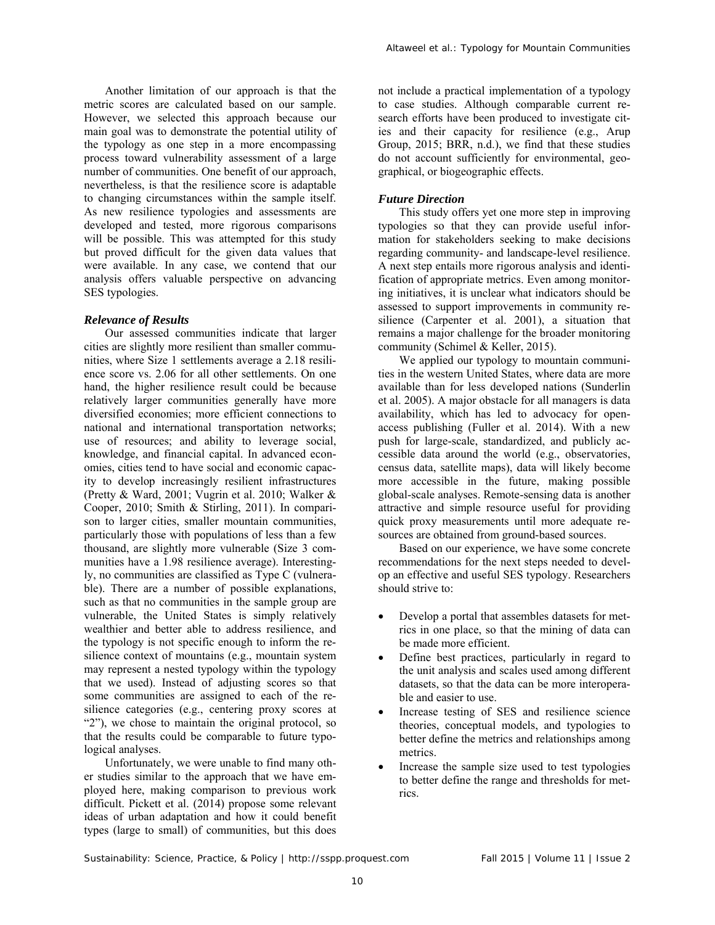Another limitation of our approach is that the metric scores are calculated based on our sample. However, we selected this approach because our main goal was to demonstrate the potential utility of the typology as one step in a more encompassing process toward vulnerability assessment of a large number of communities. One benefit of our approach, nevertheless, is that the resilience score is adaptable to changing circumstances within the sample itself. As new resilience typologies and assessments are developed and tested, more rigorous comparisons will be possible. This was attempted for this study but proved difficult for the given data values that were available. In any case, we contend that our analysis offers valuable perspective on advancing SES typologies.

#### *Relevance of Results*

Our assessed communities indicate that larger cities are slightly more resilient than smaller communities, where Size 1 settlements average a 2.18 resilience score vs. 2.06 for all other settlements. On one hand, the higher resilience result could be because relatively larger communities generally have more diversified economies; more efficient connections to national and international transportation networks; use of resources; and ability to leverage social, knowledge, and financial capital. In advanced economies, cities tend to have social and economic capacity to develop increasingly resilient infrastructures (Pretty & Ward, 2001; Vugrin et al. 2010; Walker & Cooper, 2010; Smith & Stirling, 2011). In comparison to larger cities, smaller mountain communities, particularly those with populations of less than a few thousand, are slightly more vulnerable (Size 3 communities have a 1.98 resilience average). Interestingly, no communities are classified as Type C (vulnerable). There are a number of possible explanations, such as that no communities in the sample group are vulnerable, the United States is simply relatively wealthier and better able to address resilience, and the typology is not specific enough to inform the resilience context of mountains (e.g., mountain system may represent a nested typology within the typology that we used). Instead of adjusting scores so that some communities are assigned to each of the resilience categories (e.g., centering proxy scores at "2"), we chose to maintain the original protocol, so that the results could be comparable to future typological analyses.

Unfortunately, we were unable to find many other studies similar to the approach that we have employed here, making comparison to previous work difficult. Pickett et al. (2014) propose some relevant ideas of urban adaptation and how it could benefit types (large to small) of communities, but this does

not include a practical implementation of a typology to case studies. Although comparable current research efforts have been produced to investigate cities and their capacity for resilience (e.g., Arup Group, 2015; BRR, n.d.), we find that these studies do not account sufficiently for environmental, geographical, or biogeographic effects.

#### *Future Direction*

This study offers yet one more step in improving typologies so that they can provide useful information for stakeholders seeking to make decisions regarding community- and landscape-level resilience. A next step entails more rigorous analysis and identification of appropriate metrics. Even among monitoring initiatives, it is unclear what indicators should be assessed to support improvements in community resilience (Carpenter et al. 2001), a situation that remains a major challenge for the broader monitoring community (Schimel & Keller, 2015).

We applied our typology to mountain communities in the western United States, where data are more available than for less developed nations (Sunderlin et al. 2005). A major obstacle for all managers is data availability, which has led to advocacy for openaccess publishing (Fuller et al. 2014). With a new push for large-scale, standardized, and publicly accessible data around the world (e.g., observatories, census data, satellite maps), data will likely become more accessible in the future, making possible global-scale analyses. Remote-sensing data is another attractive and simple resource useful for providing quick proxy measurements until more adequate resources are obtained from ground-based sources.

Based on our experience, we have some concrete recommendations for the next steps needed to develop an effective and useful SES typology. Researchers should strive to:

- Develop a portal that assembles datasets for metrics in one place, so that the mining of data can be made more efficient.
- Define best practices, particularly in regard to the unit analysis and scales used among different datasets, so that the data can be more interoperable and easier to use.
- Increase testing of SES and resilience science theories, conceptual models, and typologies to better define the metrics and relationships among metrics.
- Increase the sample size used to test typologies to better define the range and thresholds for metrics.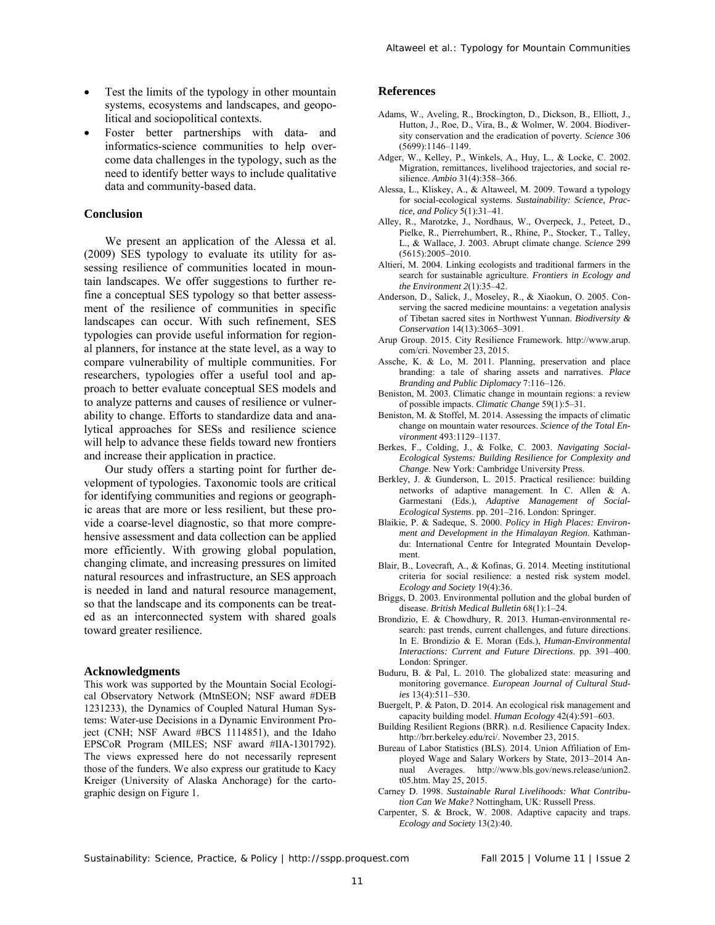- Test the limits of the typology in other mountain systems, ecosystems and landscapes, and geopolitical and sociopolitical contexts.
- Foster better partnerships with data- and informatics-science communities to help overcome data challenges in the typology, such as the need to identify better ways to include qualitative data and community-based data.

#### **Conclusion**

We present an application of the Alessa et al. (2009) SES typology to evaluate its utility for assessing resilience of communities located in mountain landscapes. We offer suggestions to further refine a conceptual SES typology so that better assessment of the resilience of communities in specific landscapes can occur. With such refinement, SES typologies can provide useful information for regional planners, for instance at the state level, as a way to compare vulnerability of multiple communities. For researchers, typologies offer a useful tool and approach to better evaluate conceptual SES models and to analyze patterns and causes of resilience or vulnerability to change. Efforts to standardize data and analytical approaches for SESs and resilience science will help to advance these fields toward new frontiers and increase their application in practice.

Our study offers a starting point for further development of typologies. Taxonomic tools are critical for identifying communities and regions or geographic areas that are more or less resilient, but these provide a coarse-level diagnostic, so that more comprehensive assessment and data collection can be applied more efficiently. With growing global population, changing climate, and increasing pressures on limited natural resources and infrastructure, an SES approach is needed in land and natural resource management, so that the landscape and its components can be treated as an interconnected system with shared goals toward greater resilience.

#### **Acknowledgments**

This work was supported by the Mountain Social Ecological Observatory Network (MtnSEON; NSF award #DEB 1231233), the Dynamics of Coupled Natural Human Systems: Water-use Decisions in a Dynamic Environment Project (CNH; NSF Award #BCS 1114851), and the Idaho EPSCoR Program (MILES; NSF award #IIA-1301792). The views expressed here do not necessarily represent those of the funders. We also express our gratitude to Kacy Kreiger (University of Alaska Anchorage) for the cartographic design on Figure 1.

#### **References**

- Adams, W., Aveling, R., Brockington, D., Dickson, B., Elliott, J., Hutton, J., Roe, D., Vira, B., & Wolmer, W. 2004. Biodiversity conservation and the eradication of poverty. *Science* 306 (5699):1146–1149.
- Adger, W., Kelley, P., Winkels, A., Huy, L., & Locke, C. 2002. Migration, remittances, livelihood trajectories, and social resilience. *Ambio* 31(4):358–366.
- Alessa, L., Kliskey, A., & Altaweel, M. 2009. Toward a typology for social-ecological systems. *Sustainability: Science, Practice, and Policy* 5(1):31–41.
- Alley, R., Marotzke, J., Nordhaus, W., Overpeck, J., Peteet, D., Pielke, R., Pierrehumbert, R., Rhine, P., Stocker, T., Talley, L., & Wallace, J. 2003. Abrupt climate change. *Science* 299 (5615):2005–2010.
- Altieri, M. 2004. Linking ecologists and traditional farmers in the search for sustainable agriculture. *Frontiers in Ecology and the Environment 2*(1):35–42.
- Anderson, D., Salick, J., Moseley, R., & Xiaokun, O. 2005. Conserving the sacred medicine mountains: a vegetation analysis of Tibetan sacred sites in Northwest Yunnan. *Biodiversity & Conservation* 14(13):3065–3091.
- Arup Group. 2015. City Resilience Framework. http://www.arup. com/cri. November 23, 2015.
- Assche, K. & Lo, M. 2011. Planning, preservation and place branding: a tale of sharing assets and narratives. *Place Branding and Public Diplomacy* 7:116–126.
- Beniston, M. 2003. Climatic change in mountain regions: a review of possible impacts. *Climatic Change* 59(1):5–31.
- Beniston, M. & Stoffel, M. 2014. Assessing the impacts of climatic change on mountain water resources. *Science of the Total Environment* 493:1129–1137.
- Berkes, F., Colding, J., & Folke, C. 2003. *Navigating Social-Ecological Systems: Building Resilience for Complexity and Change*. New York: Cambridge University Press.
- Berkley, J. & Gunderson, L. 2015. Practical resilience: building networks of adaptive management. In C. Allen & A. Garmestani (Eds.), *Adaptive Management of Social-Ecological Systems*. pp. 201–216. London: Springer.
- Blaikie, P. & Sadeque, S. 2000. *Policy in High Places: Environment and Development in the Himalayan Region*. Kathmandu: International Centre for Integrated Mountain Development.
- Blair, B., Lovecraft, A., & Kofinas, G. 2014. Meeting institutional criteria for social resilience: a nested risk system model. *Ecology and Society* 19(4):36.
- Briggs, D. 2003. Environmental pollution and the global burden of disease. *British Medical Bulletin* 68(1):1–24.
- Brondizio, E. & Chowdhury, R. 2013. Human-environmental research: past trends, current challenges, and future directions. In E. Brondizio & E. Moran (Eds.), *Human-Environmental Interactions: Current and Future Directions*. pp. 391–400. London: Springer.
- Buduru, B. & Pal, L. 2010. The globalized state: measuring and monitoring governance. *European Journal of Cultural Studies* 13(4):511–530.
- Buergelt, P. & Paton, D. 2014. An ecological risk management and capacity building model. *Human Ecology* 42(4):591–603.
- Building Resilient Regions (BRR). n.d. Resilience Capacity Index. http://brr.berkeley.edu/rci/. November 23, 2015.
- Bureau of Labor Statistics (BLS). 2014. Union Affiliation of Employed Wage and Salary Workers by State, 2013–2014 Annual Averages. http://www.bls.gov/news.release/union2. t05.htm. May 25, 2015.
- Carney D. 1998. *Sustainable Rural Livelihoods: What Contribution Can We Make?* Nottingham, UK: Russell Press.
- Carpenter, S. & Brock, W. 2008. Adaptive capacity and traps. *Ecology and Society* 13(2):40.

Sustainability: Science, Practice, & Policy | http://sspp.proquest.com Fall 2015 | Volume 11 | Issue 2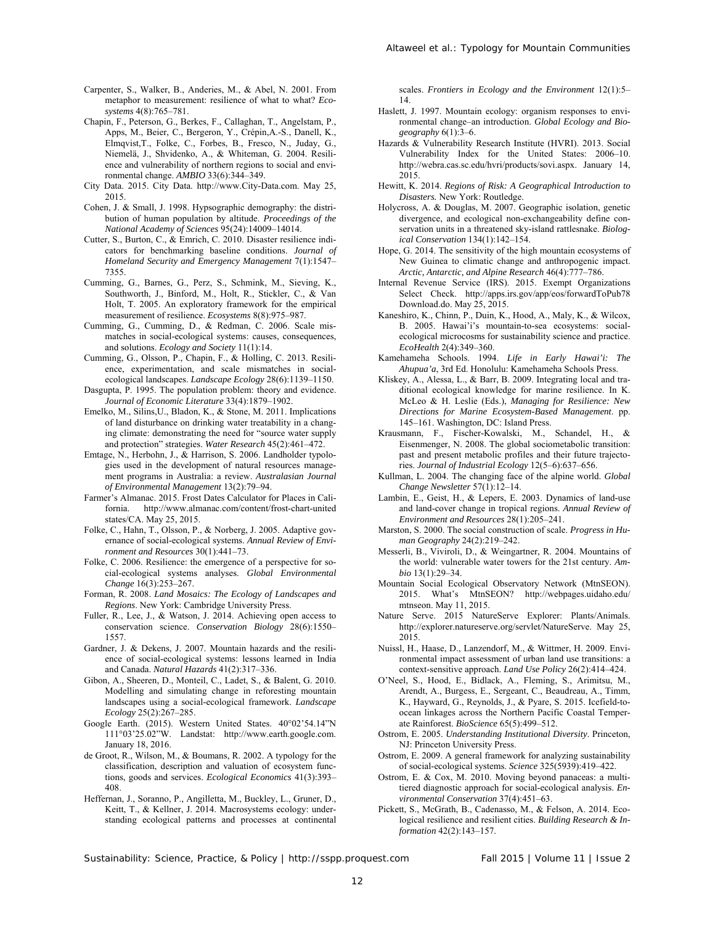- Carpenter, S., Walker, B., Anderies, M., & Abel, N. 2001. From metaphor to measurement: resilience of what to what? *Ecosystems* 4(8):765–781.
- Chapin, F., Peterson, G., Berkes, F., Callaghan, T., Angelstam, P., Apps, M., Beier, C., Bergeron, Y., Crépin,A.-S., Danell, K., Elmqvist,T., Folke, C., Forbes, B., Fresco, N., Juday, G., Niemelä, J., Shvidenko, A., & Whiteman, G. 2004. Resilience and vulnerability of northern regions to social and environmental change. *AMBIO* 33(6):344–349.
- City Data. 2015. City Data. http://www.City-Data.com. May 25, 2015.
- Cohen, J. & Small, J. 1998. Hypsographic demography: the distribution of human population by altitude. *Proceedings of the National Academy of Sciences* 95(24):14009–14014.
- Cutter, S., Burton, C., & Emrich, C. 2010. Disaster resilience indicators for benchmarking baseline conditions. *Journal of Homeland Security and Emergency Management* 7(1):1547– 7355.
- Cumming, G., Barnes, G., Perz, S., Schmink, M., Sieving, K., Southworth, J., Binford, M., Holt, R., Stickler, C., & Van Holt, T. 2005. An exploratory framework for the empirical measurement of resilience. *Ecosystems* 8(8):975–987.
- Cumming, G., Cumming, D., & Redman, C. 2006. Scale mismatches in social-ecological systems: causes, consequences, and solutions. *Ecology and Society* 11(1):14.
- Cumming, G., Olsson, P., Chapin, F., & Holling, C. 2013. Resilience, experimentation, and scale mismatches in socialecological landscapes. *Landscape Ecology* 28(6):1139–1150.
- Dasgupta, P. 1995. The population problem: theory and evidence. *Journal of Economic Literature* 33(4):1879–1902.
- Emelko, M., Silins,U., Bladon, K., & Stone, M. 2011. Implications of land disturbance on drinking water treatability in a changing climate: demonstrating the need for "source water supply and protection" strategies. *Water Research* 45(2):461–472.
- Emtage, N., Herbohn, J., & Harrison, S. 2006. Landholder typologies used in the development of natural resources management programs in Australia: a review. *Australasian Journal of Environmental Management* 13(2):79–94.
- Farmer's Almanac. 2015. Frost Dates Calculator for Places in California. http://www.almanac.com/content/frost-chart-united states/CA. May 25, 2015.
- Folke, C., Hahn, T., Olsson, P., & Norberg, J. 2005. Adaptive governance of social-ecological systems. *Annual Review of Environment and Resources* 30(1):441–73.
- Folke, C. 2006. Resilience: the emergence of a perspective for social-ecological systems analyses. *Global Environmental Change* 16(3):253–267.
- Forman, R. 2008. *Land Mosaics: The Ecology of Landscapes and Regions*. New York: Cambridge University Press.
- Fuller, R., Lee, J., & Watson, J. 2014. Achieving open access to conservation science. *Conservation Biology* 28(6):1550– 1557.
- Gardner, J. & Dekens, J. 2007. Mountain hazards and the resilience of social-ecological systems: lessons learned in India and Canada. *Natural Hazards* 41(2):317–336.
- Gibon, A., Sheeren, D., Monteil, C., Ladet, S., & Balent, G. 2010. Modelling and simulating change in reforesting mountain landscapes using a social-ecological framework. *Landscape Ecology* 25(2):267‒285.
- Google Earth. (2015). Western United States. 40°02'54.14"N 111°03'25.02"W. Landstat: http://www.earth.google.com. January 18, 2016.
- de Groot, R., Wilson, M., & Boumans, R. 2002. A typology for the classification, description and valuation of ecosystem functions, goods and services. *Ecological Economics* 41(3):393– 408.
- Heffernan, J., Soranno, P., Angilletta, M., Buckley, L., Gruner, D., Keitt, T., & Kellner, J. 2014. Macrosystems ecology: understanding ecological patterns and processes at continental

scales. *Frontiers in Ecology and the Environment* 12(1):5– 14.

- Haslett, J. 1997. Mountain ecology: organism responses to environmental change–an introduction. *Global Ecology and Biogeography* 6(1):3–6.
- Hazards & Vulnerability Research Institute (HVRI). 2013. Social Vulnerability Index for the United States: 2006–10. http://webra.cas.sc.edu/hvri/products/sovi.aspx. January 14, 2015.
- Hewitt, K. 2014. *Regions of Risk: A Geographical Introduction to Disasters.* New York: Routledge.
- Holycross, A. & Douglas, M. 2007. Geographic isolation, genetic divergence, and ecological non-exchangeability define conservation units in a threatened sky-island rattlesnake. *Biological Conservation* 134(1):142–154.
- Hope, G. 2014. The sensitivity of the high mountain ecosystems of New Guinea to climatic change and anthropogenic impact. *Arctic, Antarctic, and Alpine Research* 46(4):777–786.
- Internal Revenue Service (IRS). 2015. Exempt Organizations Select Check. http://apps.irs.gov/app/eos/forwardToPub78 Download.do. May 25, 2015.
- Kaneshiro, K., Chinn, P., Duin, K., Hood, A., Maly, K., & Wilcox, B. 2005. Hawai'i's mountain-to-sea ecosystems: socialecological microcosms for sustainability science and practice. *EcoHealth* 2(4):349–360.
- Kamehameha Schools. 1994. *Life in Early Hawai'i: The Ahupua'a*, 3rd Ed. Honolulu: Kamehameha Schools Press.
- Kliskey, A., Alessa, L., & Barr, B. 2009. Integrating local and traditional ecological knowledge for marine resilience. In K. McLeo & H. Leslie (Eds.), *Managing for Resilience: New Directions for Marine Ecosystem-Based Management*. pp. 145–161. Washington, DC: Island Press.
- Krausmann, F., Fischer-Kowalski, M., Schandel, H., & Eisenmenger, N. 2008. The global sociometabolic transition: past and present metabolic profiles and their future trajectories. *Journal of Industrial Ecology* 12(5–6):637–656.
- Kullman, L. 2004. The changing face of the alpine world. *Global Change Newsletter* 57(1):12–14.
- Lambin, E., Geist, H., & Lepers, E. 2003. Dynamics of land-use and land-cover change in tropical regions. *Annual Review of Environment and Resources* 28(1):205–241.
- Marston, S. 2000. The social construction of scale. *Progress in Human Geography* 24(2):219–242.
- Messerli, B., Viviroli, D., & Weingartner, R. 2004. Mountains of the world: vulnerable water towers for the 21st century. *Ambio* 13(1):29–34.
- Mountain Social Ecological Observatory Network (MtnSEON). 2015. What's MtnSEON? http://webpages.uidaho.edu/ mtnseon. May 11, 2015.
- Nature Serve. 2015 NatureServe Explorer: Plants/Animals. http://explorer.natureserve.org/servlet/NatureServe. May 25, 2015.
- Nuissl, H., Haase, D., Lanzendorf, M., & Wittmer, H. 2009. Environmental impact assessment of urban land use transitions: a context-sensitive approach. *Land Use Policy* 26(2):414–424.
- O'Neel, S., Hood, E., Bidlack, A., Fleming, S., Arimitsu, M., Arendt, A., Burgess, E., Sergeant, C., Beaudreau, A., Timm, K., Hayward, G., Reynolds, J., & Pyare, S. 2015. Icefield-toocean linkages across the Northern Pacific Coastal Temperate Rainforest. *BioScience* 65(5):499–512.
- Ostrom, E. 2005. *Understanding Institutional Diversity*. Princeton, NJ: Princeton University Press.
- Ostrom, E. 2009. A general framework for analyzing sustainability of social-ecological systems. *Science* 325(5939):419–422.
- Ostrom, E. & Cox, M. 2010. Moving beyond panaceas: a multitiered diagnostic approach for social-ecological analysis. *Environmental Conservation* 37(4):451–63.
- Pickett, S., McGrath, B., Cadenasso, M., & Felson, A. 2014. Ecological resilience and resilient cities. *Building Research & Information* 42(2):143–157.